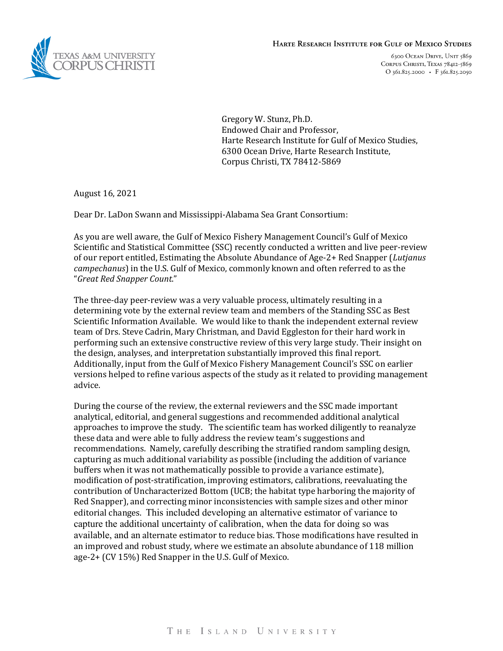



6300 OCEAN DRIVE, UNIT 5869 CORPUS CHRISTI, TEXAS 78412-5869 O  $361.825.2000$  · F  $361.825.2050$ 

Gregory W. Stunz, Ph.D. Endowed Chair and Professor, Harte Research Institute for Gulf of Mexico Studies, 6300 Ocean Drive, Harte Research Institute, Corpus Christi, TX 78412-5869

August 16, 2021

Dear Dr. LaDon Swann and Mississippi-Alabama Sea Grant Consortium:

As you are well aware, the Gulf of Mexico Fishery Management Council's Gulf of Mexico Scientific and Statistical Committee (SSC) recently conducted a written and live peer-review of our report entitled, Estimating the Absolute Abundance of Age-2+ Red Snapper (*Lutjanus campechanus*) in the U.S. Gulf of Mexico, commonly known and often referred to as the "*Great Red Snapper Count*."

The three-day peer-review was a very valuable process, ultimately resulting in a determining vote by the external review team and members of the Standing SSC as Best Scientific Information Available. We would like to thank the independent external review team of Drs. Steve Cadrin, Mary Christman, and David Eggleston for their hard work in performing such an extensive constructive review of this very large study. Their insight on the design, analyses, and interpretation substantially improved this final report. Additionally, input from the Gulf of Mexico Fishery Management Council's SSC on earlier versions helped to refine various aspects of the study as it related to providing management advice.

During the course of the review, the external reviewers and the SSC made important analytical, editorial, and general suggestions and recommended additional analytical approaches to improve the study. The scientific team has worked diligently to reanalyze these data and were able to fully address the review team's suggestions and recommendations. Namely, carefully describing the stratified random sampling design, capturing as much additional variability as possible (including the addition of variance buffers when it was not mathematically possible to provide a variance estimate), modification of post-stratification, improving estimators, calibrations, reevaluating the contribution of Uncharacterized Bottom (UCB; the habitat type harboring the majority of Red Snapper), and correcting minor inconsistencies with sample sizes and other minor editorial changes. This included developing an alternative estimator of variance to capture the additional uncertainty of calibration, when the data for doing so was available, and an alternate estimator to reduce bias. Those modifications have resulted in an improved and robust study, where we estimate an absolute abundance of 118 million age-2+ (CV 15%) Red Snapper in the U.S. Gulf of Mexico.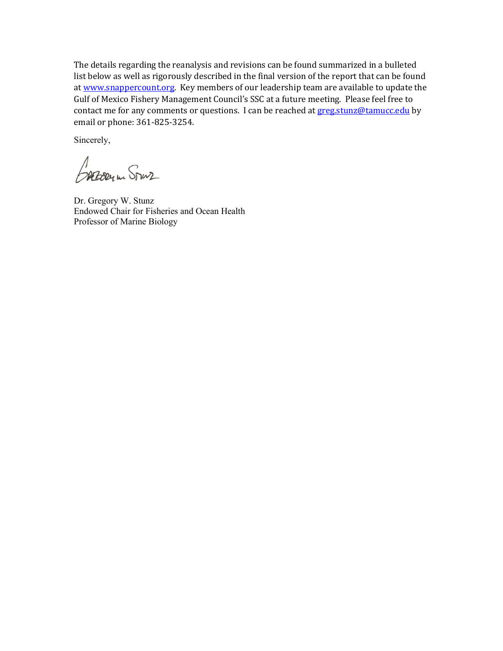The details regarding the reanalysis and revisions can be found summarized in a bulleted list below as well as rigorously described in the final version of the report that can be found a[t www.snappercount.org.](http://www.snappercount.org/) Key members of our leadership team are available to update the Gulf of Mexico Fishery Management Council's SSC at a future meeting. Please feel free to contact me for any comments or questions. I can be reached a[t greg.stunz@tamucc.edu](mailto:greg.stunz@tamucc.edu) by email or phone: 361-825-3254.

Sincerely,

BAEDERIN STURZ

Dr. Gregory W. Stunz Endowed Chair for Fisheries and Ocean Health Professor of Marine Biology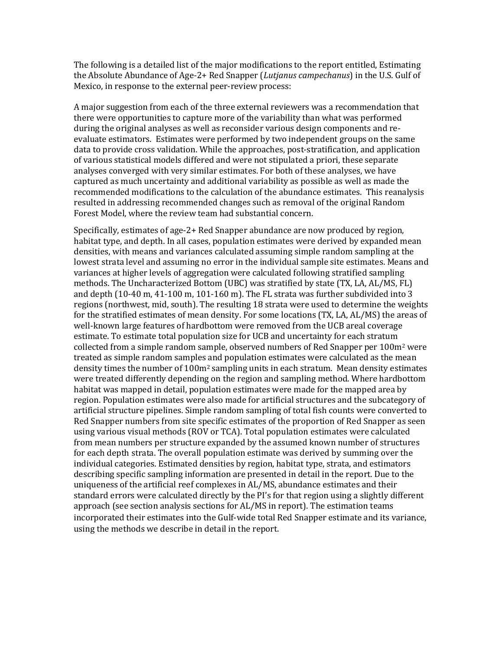The following is a detailed list of the major modifications to the report entitled, Estimating the Absolute Abundance of Age-2+ Red Snapper (*Lutjanus campechanus*) in the U.S. Gulf of Mexico, in response to the external peer-review process:

A major suggestion from each of the three external reviewers was a recommendation that there were opportunities to capture more of the variability than what was performed during the original analyses as well as reconsider various design components and reevaluate estimators. Estimates were performed by two independent groups on the same data to provide cross validation. While the approaches, post-stratification, and application of various statistical models differed and were not stipulated a priori, these separate analyses converged with very similar estimates. For both of these analyses, we have captured as much uncertainty and additional variability as possible as well as made the recommended modifications to the calculation of the abundance estimates. This reanalysis resulted in addressing recommended changes such as removal of the original Random Forest Model, where the review team had substantial concern.

Specifically, estimates of age-2+ Red Snapper abundance are now produced by region, habitat type, and depth. In all cases, population estimates were derived by expanded mean densities, with means and variances calculated assuming simple random sampling at the lowest strata level and assuming no error in the individual sample site estimates. Means and variances at higher levels of aggregation were calculated following stratified sampling methods. The Uncharacterized Bottom (UBC) was stratified by state (TX, LA, AL/MS, FL) and depth (10-40 m, 41-100 m, 101-160 m). The FL strata was further subdivided into 3 regions (northwest, mid, south). The resulting 18 strata were used to determine the weights for the stratified estimates of mean density. For some locations (TX, LA, AL/MS) the areas of well-known large features of hardbottom were removed from the UCB areal coverage estimate. To estimate total population size for UCB and uncertainty for each stratum collected from a simple random sample, observed numbers of Red Snapper per  $100m^2$  were treated as simple random samples and population estimates were calculated as the mean density times the number of  $100m^2$  sampling units in each stratum. Mean density estimates were treated differently depending on the region and sampling method. Where hardbottom habitat was mapped in detail, population estimates were made for the mapped area by region. Population estimates were also made for artificial structures and the subcategory of artificial structure pipelines. Simple random sampling of total fish counts were converted to Red Snapper numbers from site specific estimates of the proportion of Red Snapper as seen using various visual methods (ROV or TCA). Total population estimates were calculated from mean numbers per structure expanded by the assumed known number of structures for each depth strata. The overall population estimate was derived by summing over the individual categories. Estimated densities by region, habitat type, strata, and estimators describing specific sampling information are presented in detail in the report. Due to the uniqueness of the artificial reef complexes in AL/MS, abundance estimates and their standard errors were calculated directly by the PI's for that region using a slightly different approach (see section analysis sections for AL/MS in report). The estimation teams incorporated their estimates into the Gulf-wide total Red Snapper estimate and its variance, using the methods we describe in detail in the report.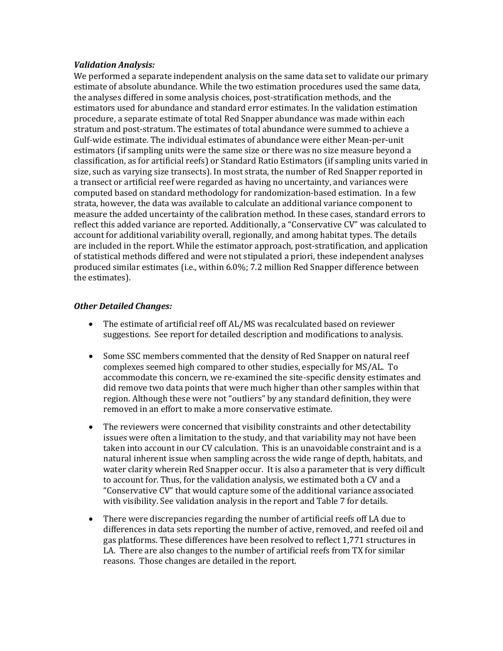## *Validation Analysis:*

We performed a separate independent analysis on the same data set to validate our primary estimate of absolute abundance. While the two estimation procedures used the same data, the analyses differed in some analysis choices, post-stratification methods, and the estimators used for abundance and standard error estimates. In the validation estimation procedure, a separate estimate of total Red Snapper abundance was made within each stratum and post-stratum. The estimates of total abundance were summed to achieve a Gulf-wide estimate. The individual estimates of abundance were either Mean-per-unit estimators (if sampling units were the same size or there was no size measure beyond a classification, as for artificial reefs) or Standard Ratio Estimators (if sampling units varied in size, such as varying size transects). In most strata, the number of Red Snapper reported in a transect or artificial reef were regarded as having no uncertainty, and variances were computed based on standard methodology for randomization-based estimation. In a few strata, however, the data was available to calculate an additional variance component to measure the added uncertainty of the calibration method. In these cases, standard errors to reflect this added variance are reported. Additionally, a "Conservative CV" was calculated to account for additional variability overall, regionally, and among habitat types. The details are included in the report. While the estimator approach, post-stratification, and application of statistical methods differed and were not stipulated a priori, these independent analyses produced similar estimates (i.e., within 6.0%; 7.2 million Red Snapper difference between the estimates).

## *Other Detailed Changes:*

- The estimate of artificial reef off AL/MS was recalculated based on reviewer suggestions. See report for detailed description and modifications to analysis.
- Some SSC members commented that the density of Red Snapper on natural reef complexes seemed high compared to other studies, especially for MS/AL. To accommodate this concern, we re-examined the site-specific density estimates and did remove two data points that were much higher than other samples within that region. Although these were not "outliers" by any standard definition, they were removed in an effort to make a more conservative estimate.
- The reviewers were concerned that visibility constraints and other detectability issues were often a limitation to the study, and that variability may not have been taken into account in our CV calculation. This is an unavoidable constraint and is a natural inherent issue when sampling across the wide range of depth, habitats, and water clarity wherein Red Snapper occur. It is also a parameter that is very difficult to account for. Thus, for the validation analysis, we estimated both a CV and a "Conservative CV" that would capture some of the additional variance associated with visibility. See validation analysis in the report and Table 7 for details.
- There were discrepancies regarding the number of artificial reefs off LA due to differences in data sets reporting the number of active, removed, and reefed oil and gas platforms. These differences have been resolved to reflect 1,771 structures in LA. There are also changes to the number of artificial reefs from TX for similar reasons. Those changes are detailed in the report.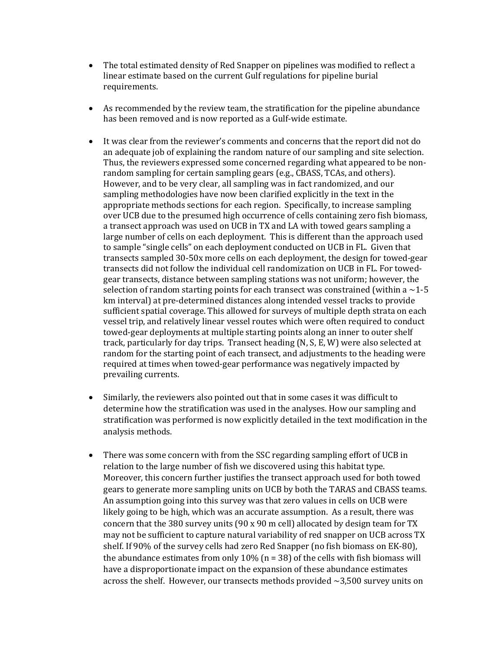- The total estimated density of Red Snapper on pipelines was modified to reflect a linear estimate based on the current Gulf regulations for pipeline burial requirements.
- As recommended by the review team, the stratification for the pipeline abundance has been removed and is now reported as a Gulf-wide estimate.
- It was clear from the reviewer's comments and concerns that the report did not do an adequate job of explaining the random nature of our sampling and site selection. Thus, the reviewers expressed some concerned regarding what appeared to be nonrandom sampling for certain sampling gears (e.g., CBASS, TCAs, and others). However, and to be very clear, all sampling was in fact randomized, and our sampling methodologies have now been clarified explicitly in the text in the appropriate methods sections for each region. Specifically, to increase sampling over UCB due to the presumed high occurrence of cells containing zero fish biomass, a transect approach was used on UCB in TX and LA with towed gears sampling a large number of cells on each deployment. This is different than the approach used to sample "single cells" on each deployment conducted on UCB in FL. Given that transects sampled 30-50x more cells on each deployment, the design for towed-gear transects did not follow the individual cell randomization on UCB in FL. For towedgear transects, distance between sampling stations was not uniform; however, the selection of random starting points for each transect was constrained (within a  $\sim$  1-5 km interval) at pre-determined distances along intended vessel tracks to provide sufficient spatial coverage. This allowed for surveys of multiple depth strata on each vessel trip, and relatively linear vessel routes which were often required to conduct towed-gear deployments at multiple starting points along an inner to outer shelf track, particularly for day trips. Transect heading (N, S, E, W) were also selected at random for the starting point of each transect, and adjustments to the heading were required at times when towed-gear performance was negatively impacted by prevailing currents.
- Similarly, the reviewers also pointed out that in some cases it was difficult to determine how the stratification was used in the analyses. How our sampling and stratification was performed is now explicitly detailed in the text modification in the analysis methods.
- There was some concern with from the SSC regarding sampling effort of UCB in relation to the large number of fish we discovered using this habitat type. Moreover, this concern further justifies the transect approach used for both towed gears to generate more sampling units on UCB by both the TARAS and CBASS teams. An assumption going into this survey was that zero values in cells on UCB were likely going to be high, which was an accurate assumption. As a result, there was concern that the 380 survey units (90 x 90 m cell) allocated by design team for TX may not be sufficient to capture natural variability of red snapper on UCB across TX shelf. If 90% of the survey cells had zero Red Snapper (no fish biomass on EK-80), the abundance estimates from only  $10\%$  (n = 38) of the cells with fish biomass will have a disproportionate impact on the expansion of these abundance estimates across the shelf. However, our transects methods provided  $\sim$ 3,500 survey units on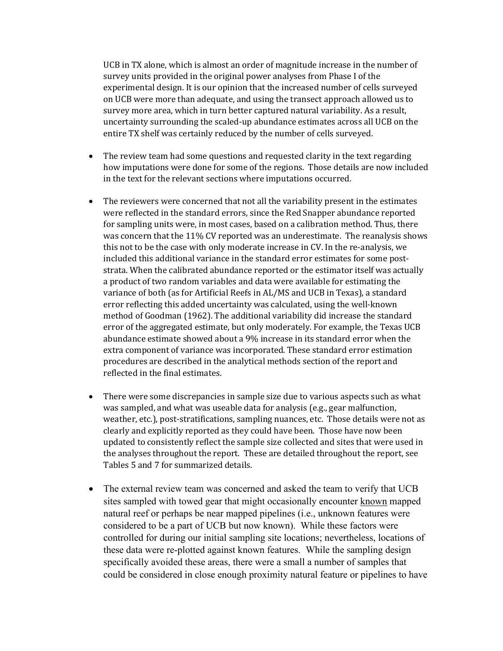UCB in TX alone, which is almost an order of magnitude increase in the number of survey units provided in the original power analyses from Phase I of the experimental design. It is our opinion that the increased number of cells surveyed on UCB were more than adequate, and using the transect approach allowed us to survey more area, which in turn better captured natural variability. As a result, uncertainty surrounding the scaled-up abundance estimates across all UCB on the entire TX shelf was certainly reduced by the number of cells surveyed.

- The review team had some questions and requested clarity in the text regarding how imputations were done for some of the regions. Those details are now included in the text for the relevant sections where imputations occurred.
- The reviewers were concerned that not all the variability present in the estimates were reflected in the standard errors, since the Red Snapper abundance reported for sampling units were, in most cases, based on a calibration method. Thus, there was concern that the 11% CV reported was an underestimate. The reanalysis shows this not to be the case with only moderate increase in CV. In the re-analysis, we included this additional variance in the standard error estimates for some poststrata. When the calibrated abundance reported or the estimator itself was actually a product of two random variables and data were available for estimating the variance of both (as for Artificial Reefs in AL/MS and UCB in Texas), a standard error reflecting this added uncertainty was calculated, using the well-known method of Goodman (1962). The additional variability did increase the standard error of the aggregated estimate, but only moderately. For example, the Texas UCB abundance estimate showed about a 9% increase in its standard error when the extra component of variance was incorporated. These standard error estimation procedures are described in the analytical methods section of the report and reflected in the final estimates.
- There were some discrepancies in sample size due to various aspects such as what was sampled, and what was useable data for analysis (e.g., gear malfunction, weather, etc.), post-stratifications, sampling nuances, etc. Those details were not as clearly and explicitly reported as they could have been. Those have now been updated to consistently reflect the sample size collected and sites that were used in the analyses throughout the report. These are detailed throughout the report, see Tables 5 and 7 for summarized details.
- The external review team was concerned and asked the team to verify that UCB sites sampled with towed gear that might occasionally encounter known mapped natural reef or perhaps be near mapped pipelines (i.e., unknown features were considered to be a part of UCB but now known). While these factors were controlled for during our initial sampling site locations; nevertheless, locations of these data were re-plotted against known features. While the sampling design specifically avoided these areas, there were a small a number of samples that could be considered in close enough proximity natural feature or pipelines to have